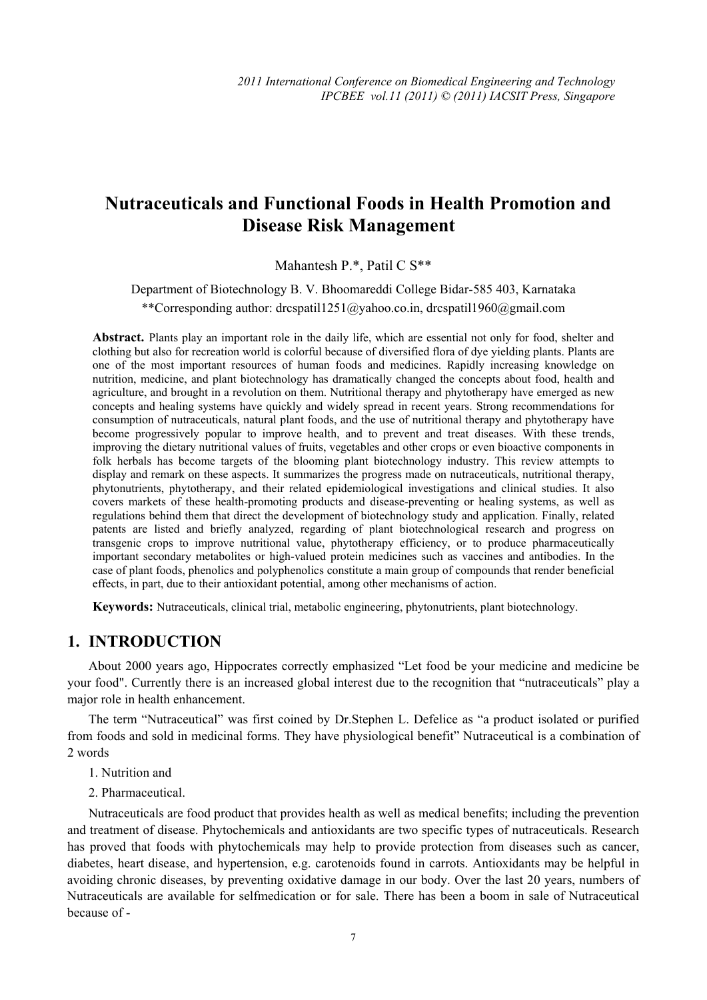# **Nutraceuticals and Functional Foods in Health Promotion and Disease Risk Management**

Mahantesh P.\*, Patil C S\*\*

Department of Biotechnology B. V. Bhoomareddi College Bidar-585 403, Karnataka \*\*Corresponding author: drcspatil1251@yahoo.co.in, drcspatil1960@gmail.com

**Abstract.** Plants play an important role in the daily life, which are essential not only for food, shelter and clothing but also for recreation world is colorful because of diversified flora of dye yielding plants. Plants are one of the most important resources of human foods and medicines. Rapidly increasing knowledge on nutrition, medicine, and plant biotechnology has dramatically changed the concepts about food, health and agriculture, and brought in a revolution on them. Nutritional therapy and phytotherapy have emerged as new concepts and healing systems have quickly and widely spread in recent years. Strong recommendations for consumption of nutraceuticals, natural plant foods, and the use of nutritional therapy and phytotherapy have become progressively popular to improve health, and to prevent and treat diseases. With these trends, improving the dietary nutritional values of fruits, vegetables and other crops or even bioactive components in folk herbals has become targets of the blooming plant biotechnology industry. This review attempts to display and remark on these aspects. It summarizes the progress made on nutraceuticals, nutritional therapy, phytonutrients, phytotherapy, and their related epidemiological investigations and clinical studies. It also covers markets of these health-promoting products and disease-preventing or healing systems, as well as regulations behind them that direct the development of biotechnology study and application. Finally, related patents are listed and briefly analyzed, regarding of plant biotechnological research and progress on transgenic crops to improve nutritional value, phytotherapy efficiency, or to produce pharmaceutically important secondary metabolites or high-valued protein medicines such as vaccines and antibodies. In the case of plant foods, phenolics and polyphenolics constitute a main group of compounds that render beneficial effects, in part, due to their antioxidant potential, among other mechanisms of action.

**Keywords:** Nutraceuticals, clinical trial, metabolic engineering, phytonutrients, plant biotechnology.

# **1. INTRODUCTION**

About 2000 years ago, Hippocrates correctly emphasized "Let food be your medicine and medicine be your food". Currently there is an increased global interest due to the recognition that "nutraceuticals" play a major role in health enhancement.

The term "Nutraceutical" was first coined by Dr.Stephen L. Defelice as "a product isolated or purified from foods and sold in medicinal forms. They have physiological benefit" Nutraceutical is a combination of 2 words

1. Nutrition and

2. Pharmaceutical.

Nutraceuticals are food product that provides health as well as medical benefits; including the prevention and treatment of disease. Phytochemicals and antioxidants are two specific types of nutraceuticals. Research has proved that foods with phytochemicals may help to provide protection from diseases such as cancer, diabetes, heart disease, and hypertension, e.g. carotenoids found in carrots. Antioxidants may be helpful in avoiding chronic diseases, by preventing oxidative damage in our body. Over the last 20 years, numbers of Nutraceuticals are available for selfmedication or for sale. There has been a boom in sale of Nutraceutical because of -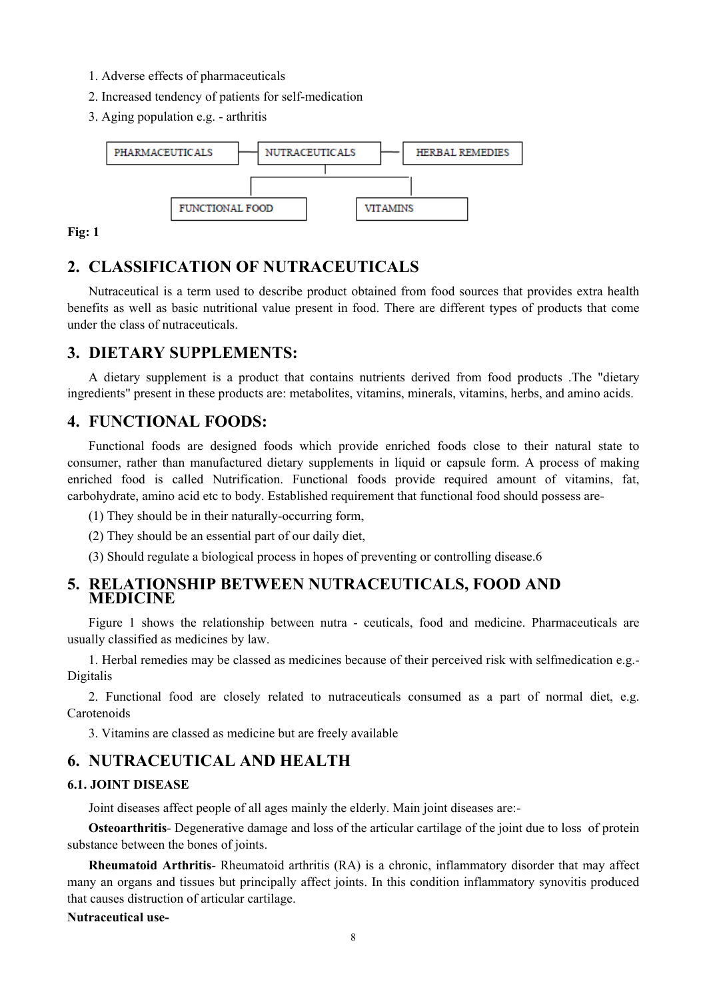- 1. Adverse effects of pharmaceuticals
- 2. Increased tendency of patients for self-medication
- 3. Aging population e.g. arthritis



#### **Fig: 1**

# **2. CLASSIFICATION OF NUTRACEUTICALS**

Nutraceutical is a term used to describe product obtained from food sources that provides extra health benefits as well as basic nutritional value present in food. There are different types of products that come under the class of nutraceuticals.

# **3. DIETARY SUPPLEMENTS:**

A dietary supplement is a product that contains nutrients derived from food products .The "dietary ingredients" present in these products are: metabolites, vitamins, minerals, vitamins, herbs, and amino acids.

### **4. FUNCTIONAL FOODS:**

Functional foods are designed foods which provide enriched foods close to their natural state to consumer, rather than manufactured dietary supplements in liquid or capsule form. A process of making enriched food is called Nutrification. Functional foods provide required amount of vitamins, fat, carbohydrate, amino acid etc to body. Established requirement that functional food should possess are-

(1) They should be in their naturally-occurring form,

(2) They should be an essential part of our daily diet,

(3) Should regulate a biological process in hopes of preventing or controlling disease.6

### **5. RELATIONSHIP BETWEEN NUTRACEUTICALS, FOOD AND MEDICINE**

Figure 1 shows the relationship between nutra - ceuticals, food and medicine. Pharmaceuticals are usually classified as medicines by law.

1. Herbal remedies may be classed as medicines because of their perceived risk with selfmedication e.g.- Digitalis

2. Functional food are closely related to nutraceuticals consumed as a part of normal diet, e.g. Carotenoids

3. Vitamins are classed as medicine but are freely available

# **6. NUTRACEUTICAL AND HEALTH**

### **6.1. JOINT DISEASE**

Joint diseases affect people of all ages mainly the elderly. Main joint diseases are:-

**Osteoarthritis-** Degenerative damage and loss of the articular cartilage of the joint due to loss of protein substance between the bones of joints.

**Rheumatoid Arthritis**- Rheumatoid arthritis (RA) is a chronic, inflammatory disorder that may affect many an organs and tissues but principally affect joints. In this condition inflammatory synovitis produced that causes distruction of articular cartilage.

#### **Nutraceutical use-**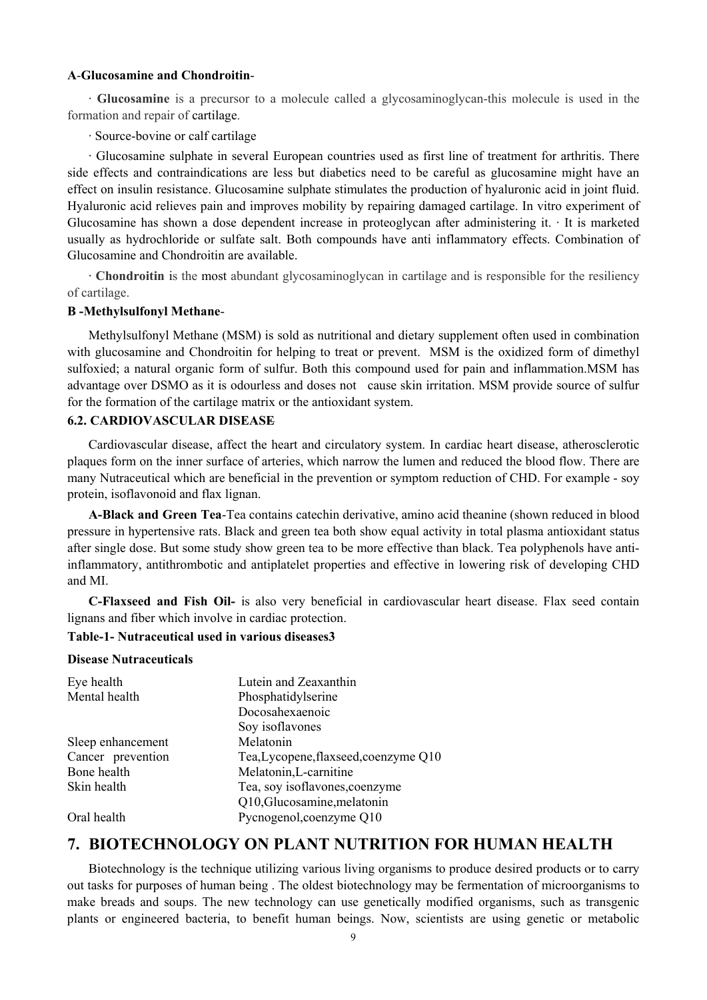### **A**-**Glucosamine and Chondroitin**-

· **Glucosamine** is a precursor to a molecule called a glycosaminoglycan-this molecule is used in the formation and repair of cartilage.

· Source-bovine or calf cartilage

· Glucosamine sulphate in several European countries used as first line of treatment for arthritis. There side effects and contraindications are less but diabetics need to be careful as glucosamine might have an effect on insulin resistance. Glucosamine sulphate stimulates the production of hyaluronic acid in joint fluid. Hyaluronic acid relieves pain and improves mobility by repairing damaged cartilage. In vitro experiment of Glucosamine has shown a dose dependent increase in proteoglycan after administering it. · It is marketed usually as hydrochloride or sulfate salt. Both compounds have anti inflammatory effects. Combination of Glucosamine and Chondroitin are available.

· **Chondroitin** is the most abundant glycosaminoglycan in cartilage and is responsible for the resiliency of cartilage.

#### **B -Methylsulfonyl Methane**-

Methylsulfonyl Methane (MSM) is sold as nutritional and dietary supplement often used in combination with glucosamine and Chondroitin for helping to treat or prevent. MSM is the oxidized form of dimethyl sulfoxied; a natural organic form of sulfur. Both this compound used for pain and inflammation.MSM has advantage over DSMO as it is odourless and doses not cause skin irritation. MSM provide source of sulfur for the formation of the cartilage matrix or the antioxidant system.

### **6.2. CARDIOVASCULAR DISEASE** –

Cardiovascular disease, affect the heart and circulatory system. In cardiac heart disease, atherosclerotic plaques form on the inner surface of arteries, which narrow the lumen and reduced the blood flow. There are many Nutraceutical which are beneficial in the prevention or symptom reduction of CHD. For example - soy protein, isoflavonoid and flax lignan.

**A-Black and Green Tea**-Tea contains catechin derivative, amino acid theanine (shown reduced in blood pressure in hypertensive rats. Black and green tea both show equal activity in total plasma antioxidant status after single dose. But some study show green tea to be more effective than black. Tea polyphenols have antiinflammatory, antithrombotic and antiplatelet properties and effective in lowering risk of developing CHD and MI.

**C-Flaxseed and Fish Oil-** is also very beneficial in cardiovascular heart disease. Flax seed contain lignans and fiber which involve in cardiac protection.

#### **Table-1- Nutraceutical used in various diseases3**

#### **Disease Nutraceuticals**

| Eye health        | Lutein and Zeaxanthin                 |
|-------------------|---------------------------------------|
| Mental health     | Phosphatidylserine                    |
|                   | Docosahexaenoic                       |
|                   | Soy isoflavones                       |
| Sleep enhancement | Melatonin                             |
| Cancer prevention | Tea, Lycopene, flaxseed, coenzyme Q10 |
| Bone health       | Melatonin, L-carnitine                |
| Skin health       | Tea, soy isoflavones, coenzyme        |
|                   | Q10, Glucosamine, melatonin           |
| Oral health       | Pycnogenol, coenzyme Q10              |

### **7. BIOTECHNOLOGY ON PLANT NUTRITION FOR HUMAN HEALTH**

Biotechnology is the technique utilizing various living organisms to produce desired products or to carry out tasks for purposes of human being . The oldest biotechnology may be fermentation of microorganisms to make breads and soups. The new technology can use genetically modified organisms, such as transgenic plants or engineered bacteria, to benefit human beings. Now, scientists are using genetic or metabolic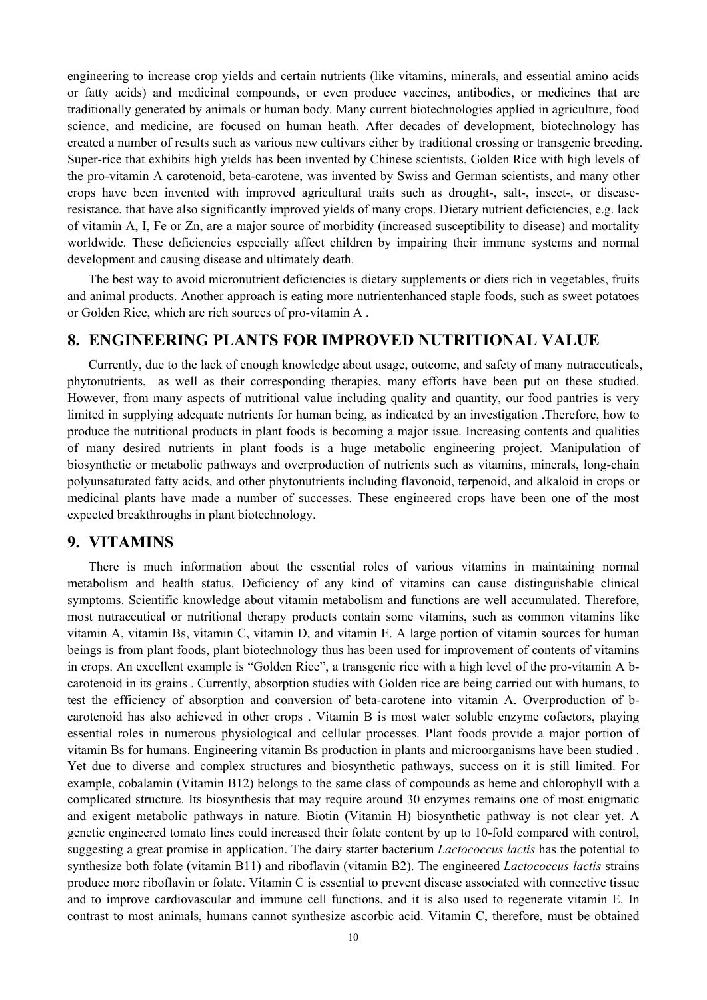engineering to increase crop yields and certain nutrients (like vitamins, minerals, and essential amino acids or fatty acids) and medicinal compounds, or even produce vaccines, antibodies, or medicines that are traditionally generated by animals or human body. Many current biotechnologies applied in agriculture, food science, and medicine, are focused on human heath. After decades of development, biotechnology has created a number of results such as various new cultivars either by traditional crossing or transgenic breeding. Super-rice that exhibits high yields has been invented by Chinese scientists, Golden Rice with high levels of the pro-vitamin A carotenoid, beta-carotene, was invented by Swiss and German scientists, and many other crops have been invented with improved agricultural traits such as drought-, salt-, insect-, or diseaseresistance, that have also significantly improved yields of many crops. Dietary nutrient deficiencies, e.g. lack of vitamin A, I, Fe or Zn, are a major source of morbidity (increased susceptibility to disease) and mortality worldwide. These deficiencies especially affect children by impairing their immune systems and normal development and causing disease and ultimately death.

The best way to avoid micronutrient deficiencies is dietary supplements or diets rich in vegetables, fruits and animal products. Another approach is eating more nutrientenhanced staple foods, such as sweet potatoes or Golden Rice, which are rich sources of pro-vitamin A .

### **8. ENGINEERING PLANTS FOR IMPROVED NUTRITIONAL VALUE**

Currently, due to the lack of enough knowledge about usage, outcome, and safety of many nutraceuticals, phytonutrients, as well as their corresponding therapies, many efforts have been put on these studied. However, from many aspects of nutritional value including quality and quantity, our food pantries is very limited in supplying adequate nutrients for human being, as indicated by an investigation .Therefore, how to produce the nutritional products in plant foods is becoming a major issue. Increasing contents and qualities of many desired nutrients in plant foods is a huge metabolic engineering project. Manipulation of biosynthetic or metabolic pathways and overproduction of nutrients such as vitamins, minerals, long-chain polyunsaturated fatty acids, and other phytonutrients including flavonoid, terpenoid, and alkaloid in crops or medicinal plants have made a number of successes. These engineered crops have been one of the most expected breakthroughs in plant biotechnology.

# **9. VITAMINS**

There is much information about the essential roles of various vitamins in maintaining normal metabolism and health status. Deficiency of any kind of vitamins can cause distinguishable clinical symptoms. Scientific knowledge about vitamin metabolism and functions are well accumulated. Therefore, most nutraceutical or nutritional therapy products contain some vitamins, such as common vitamins like vitamin A, vitamin Bs, vitamin C, vitamin D, and vitamin E. A large portion of vitamin sources for human beings is from plant foods, plant biotechnology thus has been used for improvement of contents of vitamins in crops. An excellent example is "Golden Rice", a transgenic rice with a high level of the pro-vitamin A bcarotenoid in its grains . Currently, absorption studies with Golden rice are being carried out with humans, to test the efficiency of absorption and conversion of beta-carotene into vitamin A. Overproduction of bcarotenoid has also achieved in other crops . Vitamin B is most water soluble enzyme cofactors, playing essential roles in numerous physiological and cellular processes. Plant foods provide a major portion of vitamin Bs for humans. Engineering vitamin Bs production in plants and microorganisms have been studied . Yet due to diverse and complex structures and biosynthetic pathways, success on it is still limited. For example, cobalamin (Vitamin B12) belongs to the same class of compounds as heme and chlorophyll with a complicated structure. Its biosynthesis that may require around 30 enzymes remains one of most enigmatic and exigent metabolic pathways in nature. Biotin (Vitamin H) biosynthetic pathway is not clear yet. A genetic engineered tomato lines could increased their folate content by up to 10-fold compared with control, suggesting a great promise in application. The dairy starter bacterium *Lactococcus lactis* has the potential to synthesize both folate (vitamin B11) and riboflavin (vitamin B2). The engineered *Lactococcus lactis* strains produce more riboflavin or folate. Vitamin C is essential to prevent disease associated with connective tissue and to improve cardiovascular and immune cell functions, and it is also used to regenerate vitamin E. In contrast to most animals, humans cannot synthesize ascorbic acid. Vitamin C, therefore, must be obtained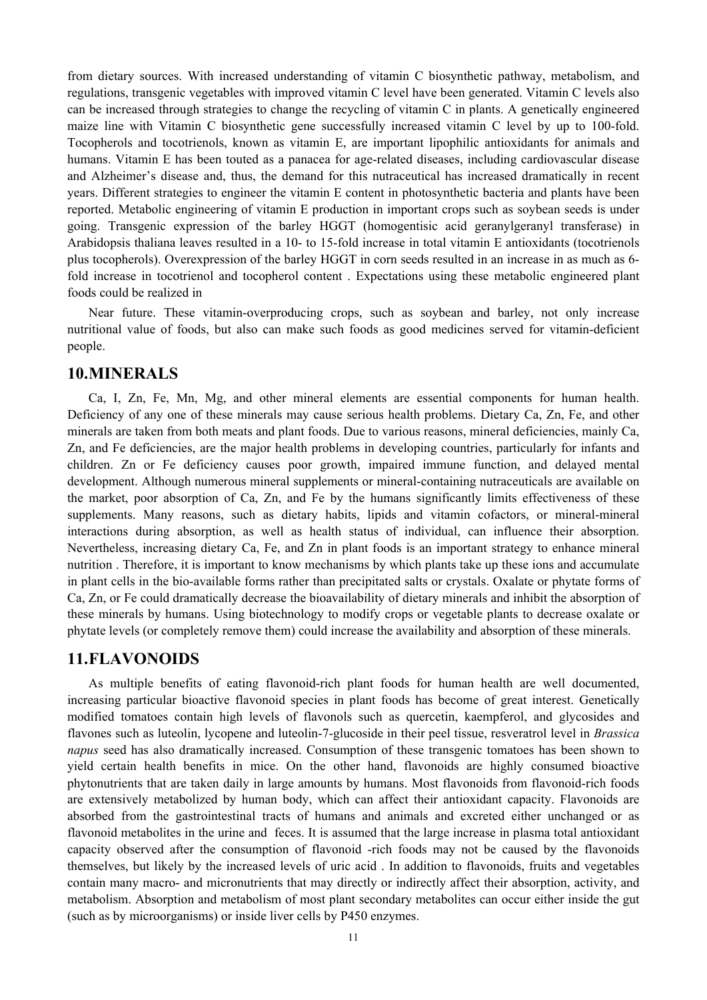from dietary sources. With increased understanding of vitamin C biosynthetic pathway, metabolism, and regulations, transgenic vegetables with improved vitamin C level have been generated. Vitamin C levels also can be increased through strategies to change the recycling of vitamin C in plants. A genetically engineered maize line with Vitamin C biosynthetic gene successfully increased vitamin C level by up to 100-fold. Tocopherols and tocotrienols, known as vitamin E, are important lipophilic antioxidants for animals and humans. Vitamin E has been touted as a panacea for age-related diseases, including cardiovascular disease and Alzheimer's disease and, thus, the demand for this nutraceutical has increased dramatically in recent years. Different strategies to engineer the vitamin E content in photosynthetic bacteria and plants have been reported. Metabolic engineering of vitamin E production in important crops such as soybean seeds is under going. Transgenic expression of the barley HGGT (homogentisic acid geranylgeranyl transferase) in Arabidopsis thaliana leaves resulted in a 10- to 15-fold increase in total vitamin E antioxidants (tocotrienols plus tocopherols). Overexpression of the barley HGGT in corn seeds resulted in an increase in as much as 6 fold increase in tocotrienol and tocopherol content . Expectations using these metabolic engineered plant foods could be realized in

Near future. These vitamin-overproducing crops, such as soybean and barley, not only increase nutritional value of foods, but also can make such foods as good medicines served for vitamin-deficient people.

### **10.MINERALS**

Ca, I, Zn, Fe, Mn, Mg, and other mineral elements are essential components for human health. Deficiency of any one of these minerals may cause serious health problems. Dietary Ca, Zn, Fe, and other minerals are taken from both meats and plant foods. Due to various reasons, mineral deficiencies, mainly Ca, Zn, and Fe deficiencies, are the major health problems in developing countries, particularly for infants and children. Zn or Fe deficiency causes poor growth, impaired immune function, and delayed mental development. Although numerous mineral supplements or mineral-containing nutraceuticals are available on the market, poor absorption of Ca, Zn, and Fe by the humans significantly limits effectiveness of these supplements. Many reasons, such as dietary habits, lipids and vitamin cofactors, or mineral-mineral interactions during absorption, as well as health status of individual, can influence their absorption. Nevertheless, increasing dietary Ca, Fe, and Zn in plant foods is an important strategy to enhance mineral nutrition . Therefore, it is important to know mechanisms by which plants take up these ions and accumulate in plant cells in the bio-available forms rather than precipitated salts or crystals. Oxalate or phytate forms of Ca, Zn, or Fe could dramatically decrease the bioavailability of dietary minerals and inhibit the absorption of these minerals by humans. Using biotechnology to modify crops or vegetable plants to decrease oxalate or phytate levels (or completely remove them) could increase the availability and absorption of these minerals.

## **11.FLAVONOIDS**

As multiple benefits of eating flavonoid-rich plant foods for human health are well documented, increasing particular bioactive flavonoid species in plant foods has become of great interest. Genetically modified tomatoes contain high levels of flavonols such as quercetin, kaempferol, and glycosides and flavones such as luteolin, lycopene and luteolin-7-glucoside in their peel tissue, resveratrol level in *Brassica napus* seed has also dramatically increased. Consumption of these transgenic tomatoes has been shown to yield certain health benefits in mice. On the other hand, flavonoids are highly consumed bioactive phytonutrients that are taken daily in large amounts by humans. Most flavonoids from flavonoid-rich foods are extensively metabolized by human body, which can affect their antioxidant capacity. Flavonoids are absorbed from the gastrointestinal tracts of humans and animals and excreted either unchanged or as flavonoid metabolites in the urine and feces. It is assumed that the large increase in plasma total antioxidant capacity observed after the consumption of flavonoid -rich foods may not be caused by the flavonoids themselves, but likely by the increased levels of uric acid . In addition to flavonoids, fruits and vegetables contain many macro- and micronutrients that may directly or indirectly affect their absorption, activity, and metabolism. Absorption and metabolism of most plant secondary metabolites can occur either inside the gut (such as by microorganisms) or inside liver cells by P450 enzymes.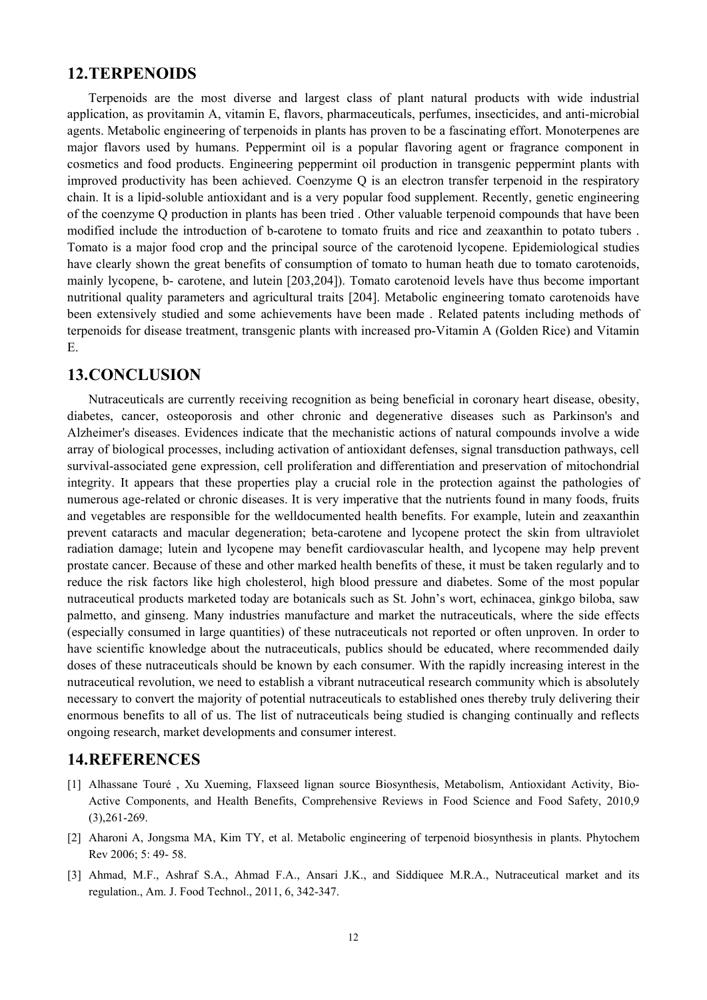### **12.TERPENOIDS**

Terpenoids are the most diverse and largest class of plant natural products with wide industrial application, as provitamin A, vitamin E, flavors, pharmaceuticals, perfumes, insecticides, and anti-microbial agents. Metabolic engineering of terpenoids in plants has proven to be a fascinating effort. Monoterpenes are major flavors used by humans. Peppermint oil is a popular flavoring agent or fragrance component in cosmetics and food products. Engineering peppermint oil production in transgenic peppermint plants with improved productivity has been achieved. Coenzyme Q is an electron transfer terpenoid in the respiratory chain. It is a lipid-soluble antioxidant and is a very popular food supplement. Recently, genetic engineering of the coenzyme Q production in plants has been tried . Other valuable terpenoid compounds that have been modified include the introduction of b-carotene to tomato fruits and rice and zeaxanthin to potato tubers . Tomato is a major food crop and the principal source of the carotenoid lycopene. Epidemiological studies have clearly shown the great benefits of consumption of tomato to human heath due to tomato carotenoids, mainly lycopene, b- carotene, and lutein [203,204]). Tomato carotenoid levels have thus become important nutritional quality parameters and agricultural traits [204]. Metabolic engineering tomato carotenoids have been extensively studied and some achievements have been made . Related patents including methods of terpenoids for disease treatment, transgenic plants with increased pro-Vitamin A (Golden Rice) and Vitamin E.

### **13.CONCLUSION**

Nutraceuticals are currently receiving recognition as being beneficial in coronary heart disease, obesity, diabetes, cancer, osteoporosis and other chronic and degenerative diseases such as Parkinson's and Alzheimer's diseases. Evidences indicate that the mechanistic actions of natural compounds involve a wide array of biological processes, including activation of antioxidant defenses, signal transduction pathways, cell survival-associated gene expression, cell proliferation and differentiation and preservation of mitochondrial integrity. It appears that these properties play a crucial role in the protection against the pathologies of numerous age-related or chronic diseases. It is very imperative that the nutrients found in many foods, fruits and vegetables are responsible for the welldocumented health benefits. For example, lutein and zeaxanthin prevent cataracts and macular degeneration; beta-carotene and lycopene protect the skin from ultraviolet radiation damage; lutein and lycopene may benefit cardiovascular health, and lycopene may help prevent prostate cancer. Because of these and other marked health benefits of these, it must be taken regularly and to reduce the risk factors like high cholesterol, high blood pressure and diabetes. Some of the most popular nutraceutical products marketed today are botanicals such as St. John's wort, echinacea, ginkgo biloba, saw palmetto, and ginseng. Many industries manufacture and market the nutraceuticals, where the side effects (especially consumed in large quantities) of these nutraceuticals not reported or often unproven. In order to have scientific knowledge about the nutraceuticals, publics should be educated, where recommended daily doses of these nutraceuticals should be known by each consumer. With the rapidly increasing interest in the nutraceutical revolution, we need to establish a vibrant nutraceutical research community which is absolutely necessary to convert the majority of potential nutraceuticals to established ones thereby truly delivering their enormous benefits to all of us. The list of nutraceuticals being studied is changing continually and reflects ongoing research, market developments and consumer interest.

# **14.REFERENCES**

- [1] Alhassane Touré , Xu Xueming, Flaxseed lignan source Biosynthesis, Metabolism, Antioxidant Activity, Bio-Active Components, and Health Benefits, Comprehensive Reviews in Food Science and Food Safety, 2010,9 (3),261-269.
- [2] Aharoni A, Jongsma MA, Kim TY, et al. Metabolic engineering of terpenoid biosynthesis in plants. Phytochem Rev 2006; 5: 49- 58.
- [3] Ahmad, M.F., Ashraf S.A., Ahmad F.A., Ansari J.K., and Siddiquee M.R.A., Nutraceutical market and its regulation., Am. J. Food Technol., 2011, 6, 342-347.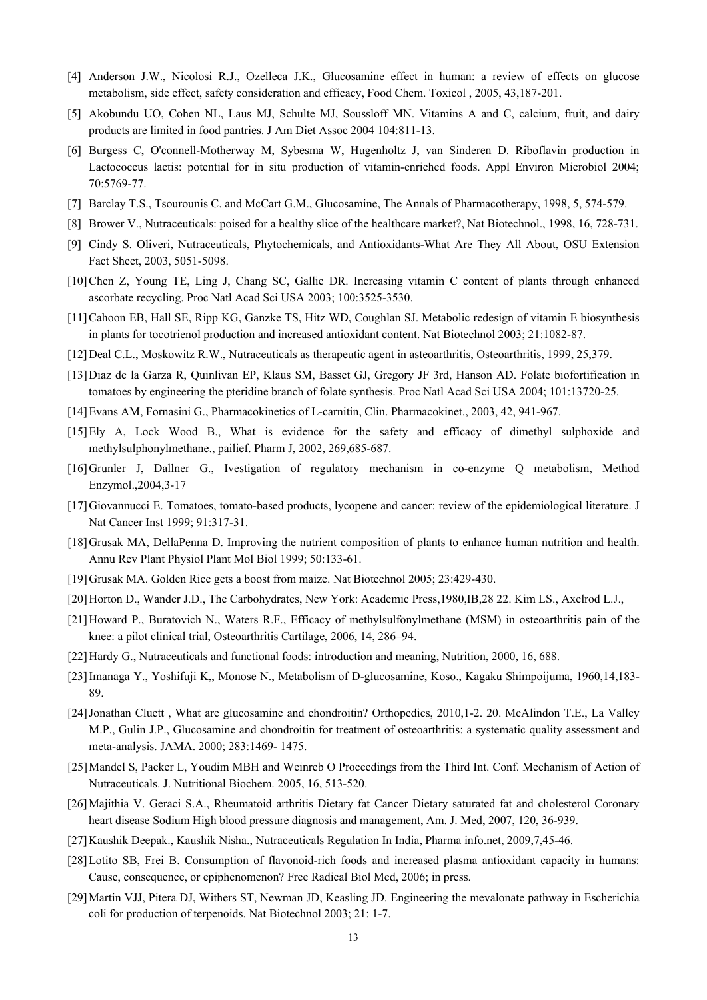- [4] Anderson J.W., Nicolosi R.J., Ozelleca J.K., Glucosamine effect in human: a review of effects on glucose metabolism, side effect, safety consideration and efficacy, Food Chem. Toxicol , 2005, 43,187-201.
- [5] Akobundu UO, Cohen NL, Laus MJ, Schulte MJ, Soussloff MN. Vitamins A and C, calcium, fruit, and dairy products are limited in food pantries. J Am Diet Assoc 2004 104:811-13.
- [6] Burgess C, O'connell-Motherway M, Sybesma W, Hugenholtz J, van Sinderen D. Riboflavin production in Lactococcus lactis: potential for in situ production of vitamin-enriched foods. Appl Environ Microbiol 2004; 70:5769-77.
- [7] Barclay T.S., Tsourounis C. and McCart G.M., Glucosamine, The Annals of Pharmacotherapy, 1998, 5, 574-579.
- [8] Brower V., Nutraceuticals: poised for a healthy slice of the healthcare market?, Nat Biotechnol., 1998, 16, 728-731.
- [9] Cindy S. Oliveri, Nutraceuticals, Phytochemicals, and Antioxidants-What Are They All About, OSU Extension Fact Sheet, 2003, 5051-5098.
- [10]Chen Z, Young TE, Ling J, Chang SC, Gallie DR. Increasing vitamin C content of plants through enhanced ascorbate recycling. Proc Natl Acad Sci USA 2003; 100:3525-3530.
- [11]Cahoon EB, Hall SE, Ripp KG, Ganzke TS, Hitz WD, Coughlan SJ. Metabolic redesign of vitamin E biosynthesis in plants for tocotrienol production and increased antioxidant content. Nat Biotechnol 2003; 21:1082-87.
- [12]Deal C.L., Moskowitz R.W., Nutraceuticals as therapeutic agent in asteoarthritis, Osteoarthritis, 1999, 25,379.
- [13]Diaz de la Garza R, Quinlivan EP, Klaus SM, Basset GJ, Gregory JF 3rd, Hanson AD. Folate biofortification in tomatoes by engineering the pteridine branch of folate synthesis. Proc Natl Acad Sci USA 2004; 101:13720-25.
- [14]Evans AM, Fornasini G., Pharmacokinetics of L-carnitin, Clin. Pharmacokinet., 2003, 42, 941-967.
- [15]Ely A, Lock Wood B., What is evidence for the safety and efficacy of dimethyl sulphoxide and methylsulphonylmethane., pailief. Pharm J, 2002, 269,685-687.
- [16]Grunler J, Dallner G., Ivestigation of regulatory mechanism in co-enzyme Q metabolism, Method Enzymol.,2004,3-17
- [17]Giovannucci E. Tomatoes, tomato-based products, lycopene and cancer: review of the epidemiological literature. J Nat Cancer Inst 1999; 91:317-31.
- [18]Grusak MA, DellaPenna D. Improving the nutrient composition of plants to enhance human nutrition and health. Annu Rev Plant Physiol Plant Mol Biol 1999; 50:133-61.
- [19]Grusak MA. Golden Rice gets a boost from maize. Nat Biotechnol 2005; 23:429-430.
- [20]Horton D., Wander J.D., The Carbohydrates, New York: Academic Press,1980,IB,28 22. Kim LS., Axelrod L.J.,
- [21]Howard P., Buratovich N., Waters R.F., Efficacy of methylsulfonylmethane (MSM) in osteoarthritis pain of the knee: a pilot clinical trial, Osteoarthritis Cartilage, 2006, 14, 286–94.
- [22]Hardy G., Nutraceuticals and functional foods: introduction and meaning, Nutrition, 2000, 16, 688.
- [23]Imanaga Y., Yoshifuji K,, Monose N., Metabolism of D-glucosamine, Koso., Kagaku Shimpoijuma, 1960,14,183- 89.
- [24]Jonathan Cluett , What are glucosamine and chondroitin? Orthopedics, 2010,1-2. 20. McAlindon T.E., La Valley M.P., Gulin J.P., Glucosamine and chondroitin for treatment of osteoarthritis: a systematic quality assessment and meta-analysis. JAMA. 2000; 283:1469- 1475.
- [25]Mandel S, Packer L, Youdim MBH and Weinreb O Proceedings from the Third Int. Conf. Mechanism of Action of Nutraceuticals. J. Nutritional Biochem. 2005, 16, 513-520.
- [26]Majithia V. Geraci S.A., Rheumatoid arthritis Dietary fat Cancer Dietary saturated fat and cholesterol Coronary heart disease Sodium High blood pressure diagnosis and management, Am. J. Med, 2007, 120, 36-939.
- [27]Kaushik Deepak., Kaushik Nisha., Nutraceuticals Regulation In India, Pharma info.net, 2009,7,45-46.
- [28]Lotito SB, Frei B. Consumption of flavonoid-rich foods and increased plasma antioxidant capacity in humans: Cause, consequence, or epiphenomenon? Free Radical Biol Med, 2006; in press.
- [29]Martin VJJ, Pitera DJ, Withers ST, Newman JD, Keasling JD. Engineering the mevalonate pathway in Escherichia coli for production of terpenoids. Nat Biotechnol 2003; 21: 1-7.